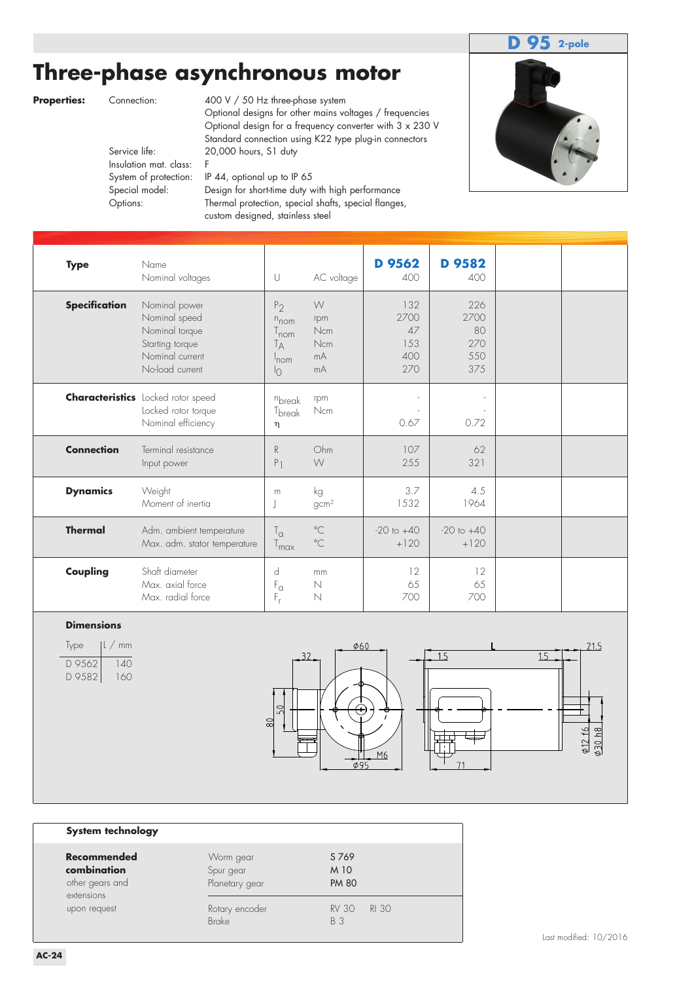### **D 95 2-pole**

# **Three-phase asynchronous motor**

**Properties:** Connection: 400 V / 50 Hz three-phase system Optional designs for other mains voltages / frequencies Optional design for a frequency converter with 3 x 230 V Standard connection using K22 type plug-in connectors<br>Service life: 20,000 hours, S1 duty 20,000 hours, S1 duty

Insulation mat. class: F System of protection: IP 44, optional up to IP 65 Special model: Design for short-time duty with high performance Options: Thermal protection, special shafts, special flanges, custom designed, stainless steel



| <b>Type</b>          | Name<br>Nominal voltages                                                                                  | U                                                                                                                      | AC voltage                              | D 9562<br>400                          | D 9582<br>400                          |  |
|----------------------|-----------------------------------------------------------------------------------------------------------|------------------------------------------------------------------------------------------------------------------------|-----------------------------------------|----------------------------------------|----------------------------------------|--|
| <b>Specification</b> | Nominal power<br>Nominal speed<br>Nominal torque<br>Starting torque<br>Nominal current<br>No-load current | P <sub>2</sub><br>$n_{\text{nom}}$<br>$\frac{1}{2}$ nom<br>$\mathsf{I}_{\mathsf{A}}$<br>$ln \circ m$<br>$\overline{1}$ | W<br>rpm<br>Ncm<br>Ncm<br>mA<br>mA      | 132<br>2700<br>47<br>153<br>400<br>270 | 226<br>2700<br>80<br>270<br>550<br>375 |  |
|                      | <b>Characteristics</b> Locked rotor speed<br>Locked rotor torque<br>Nominal efficiency                    | nbreak<br>T <sub>break</sub><br>η                                                                                      | rpm<br>$\mathsf{N}\mathsf{c}\mathsf{m}$ | 0.67                                   | 0.72                                   |  |
| <b>Connection</b>    | Terminal resistance<br>Input power                                                                        | R<br>P <sub>1</sub>                                                                                                    | Ohm<br>W                                | 107<br>255                             | 62<br>321                              |  |
| <b>Dynamics</b>      | Weight<br>Moment of inertia                                                                               | m<br>J                                                                                                                 | kg<br>gcm <sup>2</sup>                  | 3.7<br>1532                            | 4.5<br>1964                            |  |
| <b>Thermal</b>       | Adm. ambient temperature<br>Max. adm. stator temperature                                                  | $T_{\alpha}$<br>$T_{\sf max}$                                                                                          | $^{\circ}$ C<br>$^{\circ}$ C            | $-20$ to $+40$<br>$+120$               | $-20$ to $+40$<br>$+120$               |  |
| Coupling             | Shaft diameter<br>Max. axial force<br>Max. radial force                                                   | d<br>$F_{\alpha}$<br>$F_r$                                                                                             | mm<br>$\mathbb N$<br>N                  | 12<br>65<br>700                        | 12<br>65<br>700                        |  |

#### **Dimensions**

| $ L \, / \,$ mm |  |  |
|-----------------|--|--|
| 140<br>160      |  |  |
|                 |  |  |





### **System technology**

| <u>system teginivivyy</u>                                          |                                          |                                     |  |  |  |
|--------------------------------------------------------------------|------------------------------------------|-------------------------------------|--|--|--|
| <b>Recommended</b><br>combination<br>other gears and<br>extensions | Worm gear<br>Spur gear<br>Planetary gear | S 769<br>M 10<br><b>PM 80</b>       |  |  |  |
| upon request                                                       | Rotary encoder<br>Brake                  | <b>RV 30</b><br>RI 30<br><b>B</b> 3 |  |  |  |